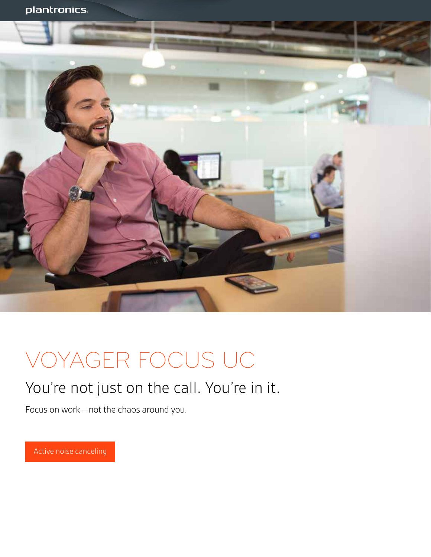



# VOYAGER FOCUS UC

### You're not just on the call. You're in it.

Focus on work—not the chaos around you.

Active noise canceling